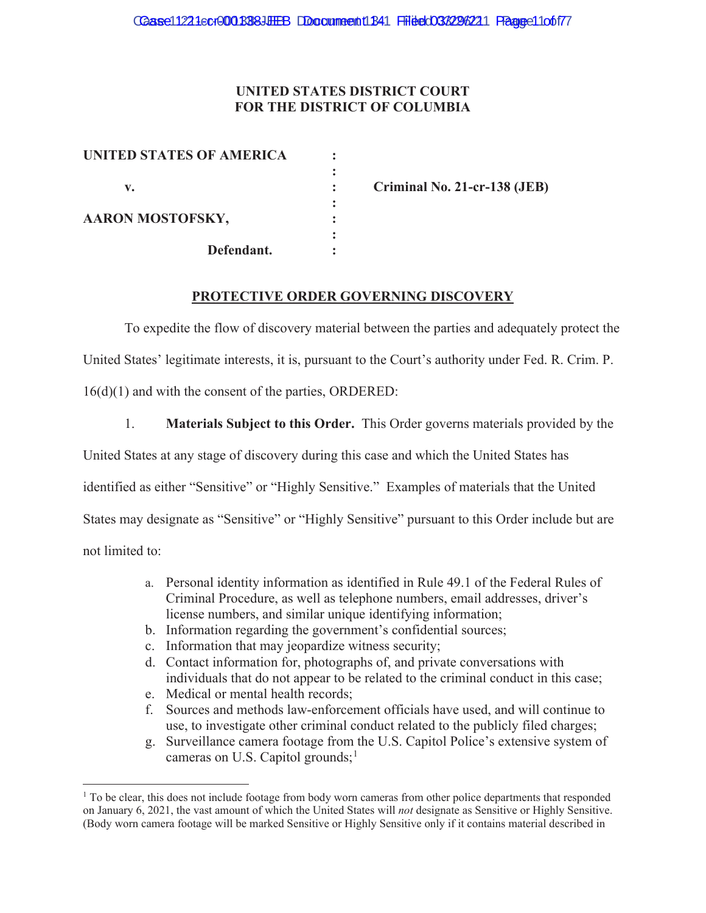#### **UNITED STATES DISTRICT COURT FOR THE DISTRICT OF COLUMBIA**

| UNITED STATES OF AMERICA |            |  |
|--------------------------|------------|--|
|                          |            |  |
| v.                       |            |  |
|                          |            |  |
| AARON MOSTOFSKY,         |            |  |
|                          |            |  |
|                          | Defendant. |  |
|                          |            |  |

 **v. : Criminal No. 21-cr-138 (JEB)** 

#### **PROTECTIVE ORDER GOVERNING DISCOVERY**

To expedite the flow of discovery material between the parties and adequately protect the United States' legitimate interests, it is, pursuant to the Court's authority under Fed. R. Crim. P. 16(d)(1) and with the consent of the parties, ORDERED:

1. **Materials Subject to this Order.** This Order governs materials provided by the United States at any stage of discovery during this case and which the United States has identified as either "Sensitive" or "Highly Sensitive." Examples of materials that the United States may designate as "Sensitive" or "Highly Sensitive" pursuant to this Order include but are not limited to:

- a. Personal identity information as identified in Rule 49.1 of the Federal Rules of Criminal Procedure, as well as telephone numbers, email addresses, driver's license numbers, and similar unique identifying information;
- b. Information regarding the government's confidential sources;
- c. Information that may jeopardize witness security;
- d. Contact information for, photographs of, and private conversations with individuals that do not appear to be related to the criminal conduct in this case;
- e. Medical or mental health records;
- f. Sources and methods law-enforcement officials have used, and will continue to use, to investigate other criminal conduct related to the publicly filed charges;
- g. Surveillance camera footage from the U.S. Capitol Police's extensive system of cameras on U.S. Capitol grounds; $<sup>1</sup>$ </sup>

<sup>&</sup>lt;sup>1</sup> To be clear, this does not include footage from body worn cameras from other police departments that responded on January 6, 2021, the vast amount of which the United States will *not* designate as Sensitive or Highly Sensitive. (Body worn camera footage will be marked Sensitive or Highly Sensitive only if it contains material described in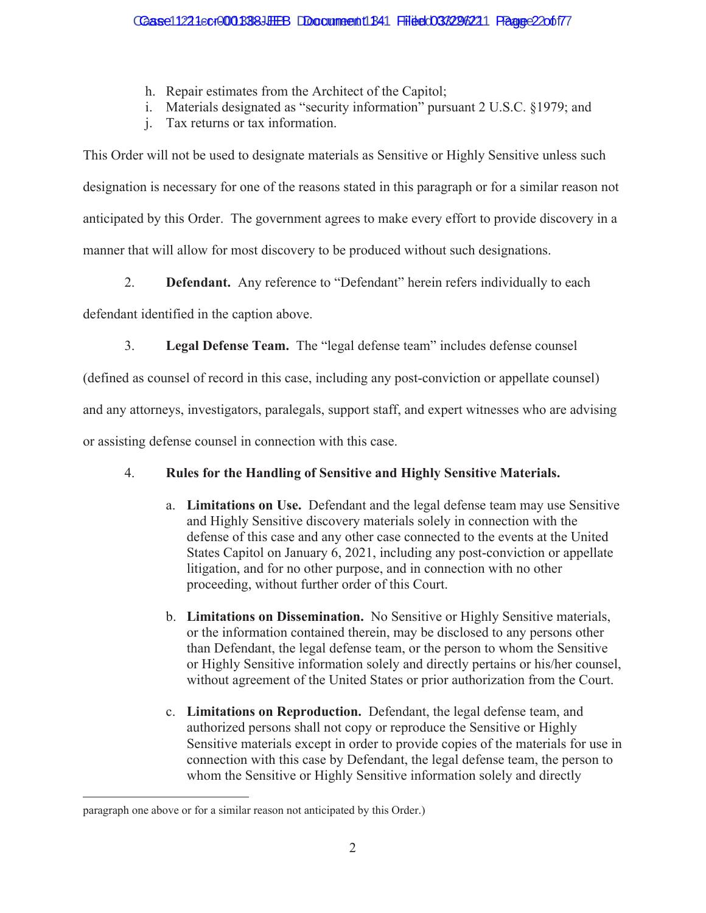- h. Repair estimates from the Architect of the Capitol;
- i. Materials designated as "security information" pursuant 2 U.S.C. §1979; and
- j. Tax returns or tax information.

This Order will not be used to designate materials as Sensitive or Highly Sensitive unless such designation is necessary for one of the reasons stated in this paragraph or for a similar reason not anticipated by this Order. The government agrees to make every effort to provide discovery in a manner that will allow for most discovery to be produced without such designations.

2. **Defendant.** Any reference to "Defendant" herein refers individually to each

defendant identified in the caption above.

3. **Legal Defense Team.** The "legal defense team" includes defense counsel

(defined as counsel of record in this case, including any post-conviction or appellate counsel)

and any attorneys, investigators, paralegals, support staff, and expert witnesses who are advising

or assisting defense counsel in connection with this case.

# 4. **Rules for the Handling of Sensitive and Highly Sensitive Materials.**

- a. **Limitations on Use.** Defendant and the legal defense team may use Sensitive and Highly Sensitive discovery materials solely in connection with the defense of this case and any other case connected to the events at the United States Capitol on January 6, 2021, including any post-conviction or appellate litigation, and for no other purpose, and in connection with no other proceeding, without further order of this Court.
- b. **Limitations on Dissemination.** No Sensitive or Highly Sensitive materials, or the information contained therein, may be disclosed to any persons other than Defendant, the legal defense team, or the person to whom the Sensitive or Highly Sensitive information solely and directly pertains or his/her counsel, without agreement of the United States or prior authorization from the Court.
- c. **Limitations on Reproduction.** Defendant, the legal defense team, and authorized persons shall not copy or reproduce the Sensitive or Highly Sensitive materials except in order to provide copies of the materials for use in connection with this case by Defendant, the legal defense team, the person to whom the Sensitive or Highly Sensitive information solely and directly

paragraph one above or for a similar reason not anticipated by this Order.)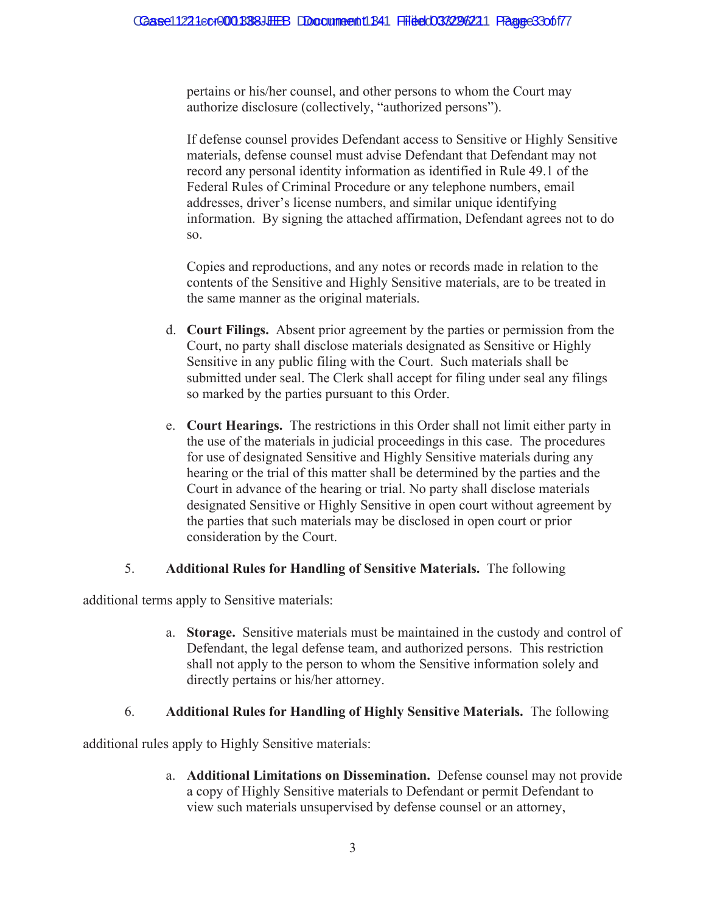pertains or his/her counsel, and other persons to whom the Court may authorize disclosure (collectively, "authorized persons").

If defense counsel provides Defendant access to Sensitive or Highly Sensitive materials, defense counsel must advise Defendant that Defendant may not record any personal identity information as identified in Rule 49.1 of the Federal Rules of Criminal Procedure or any telephone numbers, email addresses, driver's license numbers, and similar unique identifying information. By signing the attached affirmation, Defendant agrees not to do so.

Copies and reproductions, and any notes or records made in relation to the contents of the Sensitive and Highly Sensitive materials, are to be treated in the same manner as the original materials.

- d. **Court Filings.** Absent prior agreement by the parties or permission from the Court, no party shall disclose materials designated as Sensitive or Highly Sensitive in any public filing with the Court. Such materials shall be submitted under seal. The Clerk shall accept for filing under seal any filings so marked by the parties pursuant to this Order.
- e. **Court Hearings.** The restrictions in this Order shall not limit either party in the use of the materials in judicial proceedings in this case. The procedures for use of designated Sensitive and Highly Sensitive materials during any hearing or the trial of this matter shall be determined by the parties and the Court in advance of the hearing or trial. No party shall disclose materials designated Sensitive or Highly Sensitive in open court without agreement by the parties that such materials may be disclosed in open court or prior consideration by the Court.

### 5. **Additional Rules for Handling of Sensitive Materials.** The following

additional terms apply to Sensitive materials:

a. **Storage.** Sensitive materials must be maintained in the custody and control of Defendant, the legal defense team, and authorized persons. This restriction shall not apply to the person to whom the Sensitive information solely and directly pertains or his/her attorney.

### 6. **Additional Rules for Handling of Highly Sensitive Materials.** The following

additional rules apply to Highly Sensitive materials:

a. **Additional Limitations on Dissemination.** Defense counsel may not provide a copy of Highly Sensitive materials to Defendant or permit Defendant to view such materials unsupervised by defense counsel or an attorney,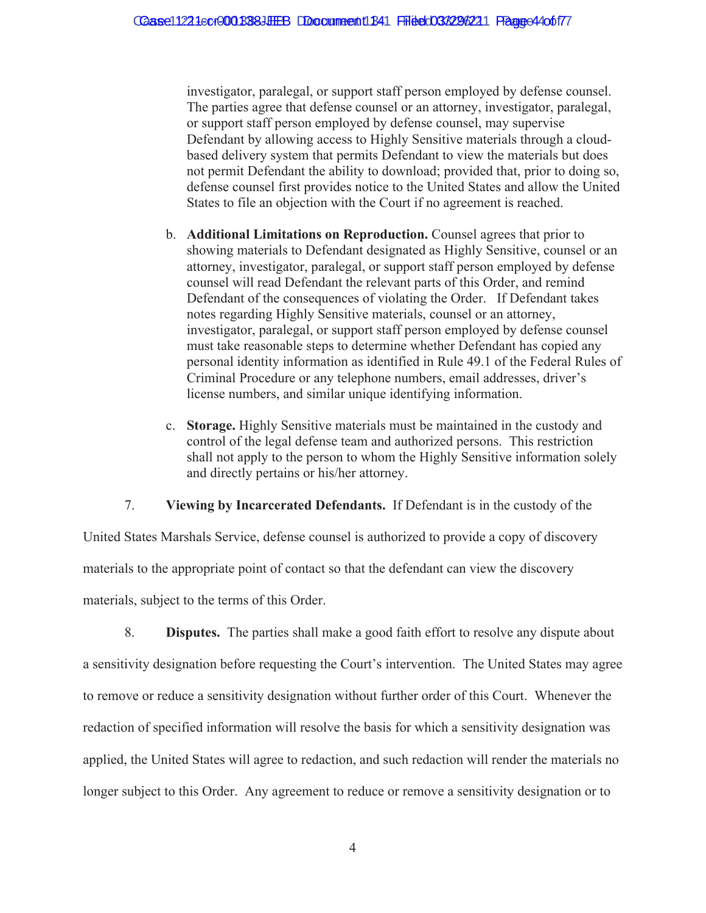investigator, paralegal, or support staff person employed by defense counsel. The parties agree that defense counsel or an attorney, investigator, paralegal, or support staff person employed by defense counsel, may supervise Defendant by allowing access to Highly Sensitive materials through a cloudbased delivery system that permits Defendant to view the materials but does not permit Defendant the ability to download; provided that, prior to doing so, defense counsel first provides notice to the United States and allow the United States to file an objection with the Court if no agreement is reached.

- b. **Additional Limitations on Reproduction.** Counsel agrees that prior to showing materials to Defendant designated as Highly Sensitive, counsel or an attorney, investigator, paralegal, or support staff person employed by defense counsel will read Defendant the relevant parts of this Order, and remind Defendant of the consequences of violating the Order. If Defendant takes notes regarding Highly Sensitive materials, counsel or an attorney, investigator, paralegal, or support staff person employed by defense counsel must take reasonable steps to determine whether Defendant has copied any personal identity information as identified in Rule 49.1 of the Federal Rules of Criminal Procedure or any telephone numbers, email addresses, driver's license numbers, and similar unique identifying information.
- c. **Storage.** Highly Sensitive materials must be maintained in the custody and control of the legal defense team and authorized persons. This restriction shall not apply to the person to whom the Highly Sensitive information solely and directly pertains or his/her attorney.

7. **Viewing by Incarcerated Defendants.** If Defendant is in the custody of the

United States Marshals Service, defense counsel is authorized to provide a copy of discovery materials to the appropriate point of contact so that the defendant can view the discovery materials, subject to the terms of this Order.

8. **Disputes.** The parties shall make a good faith effort to resolve any dispute about a sensitivity designation before requesting the Court's intervention. The United States may agree to remove or reduce a sensitivity designation without further order of this Court. Whenever the redaction of specified information will resolve the basis for which a sensitivity designation was applied, the United States will agree to redaction, and such redaction will render the materials no longer subject to this Order. Any agreement to reduce or remove a sensitivity designation or to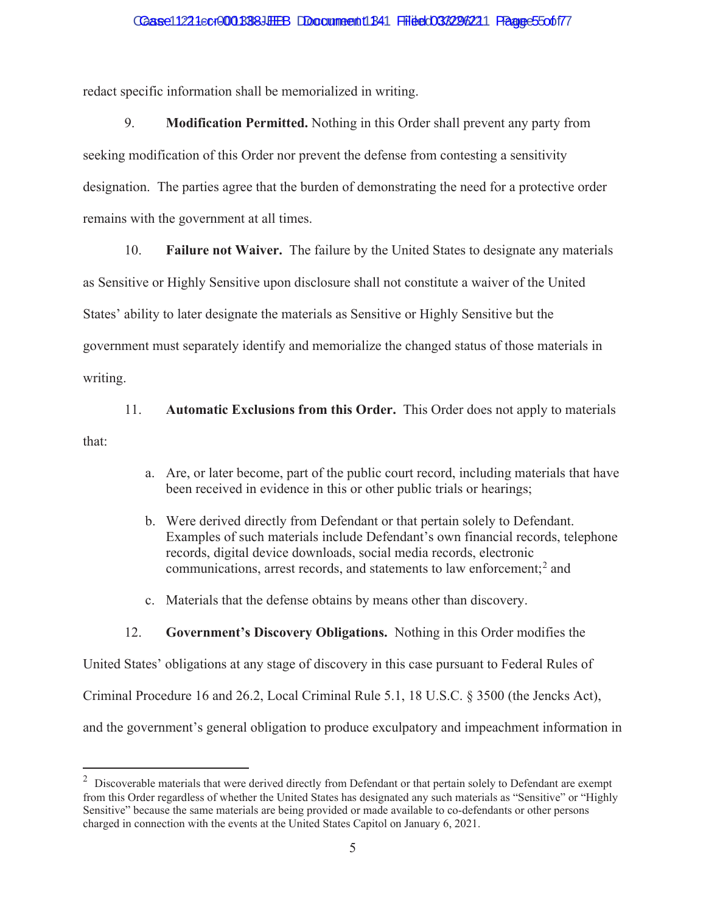redact specific information shall be memorialized in writing.

9. **Modification Permitted.** Nothing in this Order shall prevent any party from seeking modification of this Order nor prevent the defense from contesting a sensitivity designation. The parties agree that the burden of demonstrating the need for a protective order remains with the government at all times.

10. **Failure not Waiver.** The failure by the United States to designate any materials

as Sensitive or Highly Sensitive upon disclosure shall not constitute a waiver of the United

States' ability to later designate the materials as Sensitive or Highly Sensitive but the

government must separately identify and memorialize the changed status of those materials in

writing.

11. **Automatic Exclusions from this Order.** This Order does not apply to materials

that:

- a. Are, or later become, part of the public court record, including materials that have been received in evidence in this or other public trials or hearings;
- b. Were derived directly from Defendant or that pertain solely to Defendant. Examples of such materials include Defendant's own financial records, telephone records, digital device downloads, social media records, electronic communications, arrest records, and statements to law enforcement;<sup>2</sup> and
- c. Materials that the defense obtains by means other than discovery.

### 12. **Government's Discovery Obligations.** Nothing in this Order modifies the

United States' obligations at any stage of discovery in this case pursuant to Federal Rules of Criminal Procedure 16 and 26.2, Local Criminal Rule 5.1, 18 U.S.C. § 3500 (the Jencks Act), and the government's general obligation to produce exculpatory and impeachment information in

 $2$  Discoverable materials that were derived directly from Defendant or that pertain solely to Defendant are exempt from this Order regardless of whether the United States has designated any such materials as "Sensitive" or "Highly Sensitive" because the same materials are being provided or made available to co-defendants or other persons charged in connection with the events at the United States Capitol on January 6, 2021.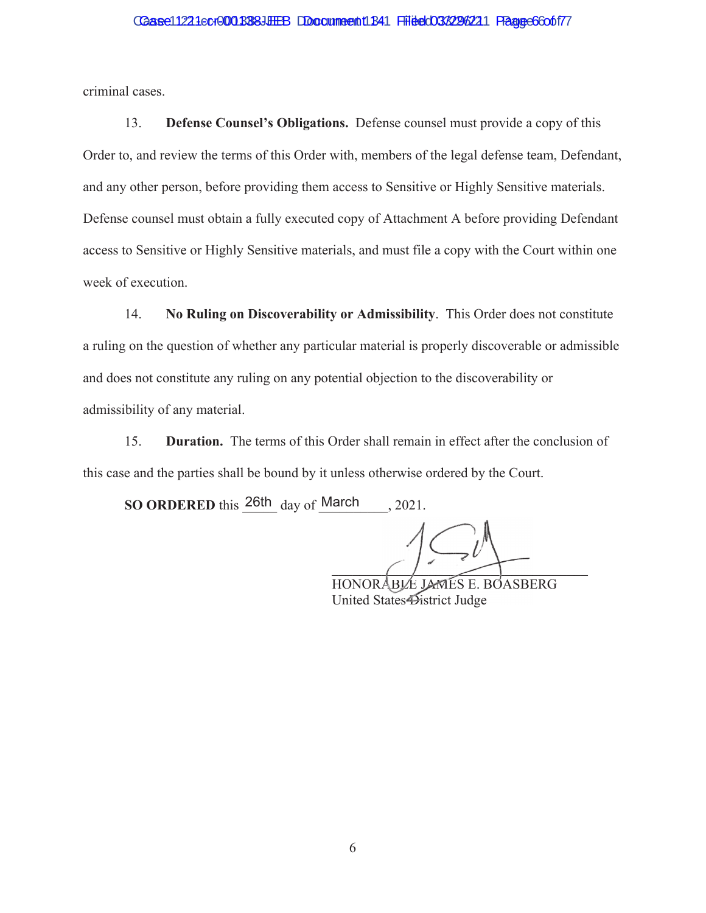#### Case11221ecr0001388JHEB DDocument 11841 Filed 038296221 Fagge 6 6 of 77

criminal cases.

13. **Defense Counsel's Obligations.** Defense counsel must provide a copy of this Order to, and review the terms of this Order with, members of the legal defense team, Defendant, and any other person, before providing them access to Sensitive or Highly Sensitive materials. Defense counsel must obtain a fully executed copy of Attachment A before providing Defendant access to Sensitive or Highly Sensitive materials, and must file a copy with the Court within one week of execution.

14. **No Ruling on Discoverability or Admissibility**. This Order does not constitute a ruling on the question of whether any particular material is properly discoverable or admissible and does not constitute any ruling on any potential objection to the discoverability or admissibility of any material.

15. **Duration.** The terms of this Order shall remain in effect after the conclusion of this case and the parties shall be bound by it unless otherwise ordered by the Court.

**SO ORDERED** this  $26th$  day of March , 2021.

 $\bigcap_{i=1}^n$  $\bigcap_{i=1}^n$ 

HONORABLE JAMES E. BOASBERG ABLE JAMES BOASBE United States District Judge